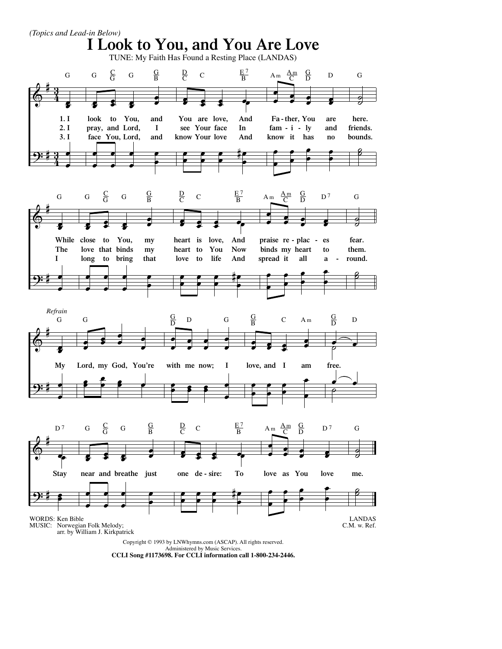